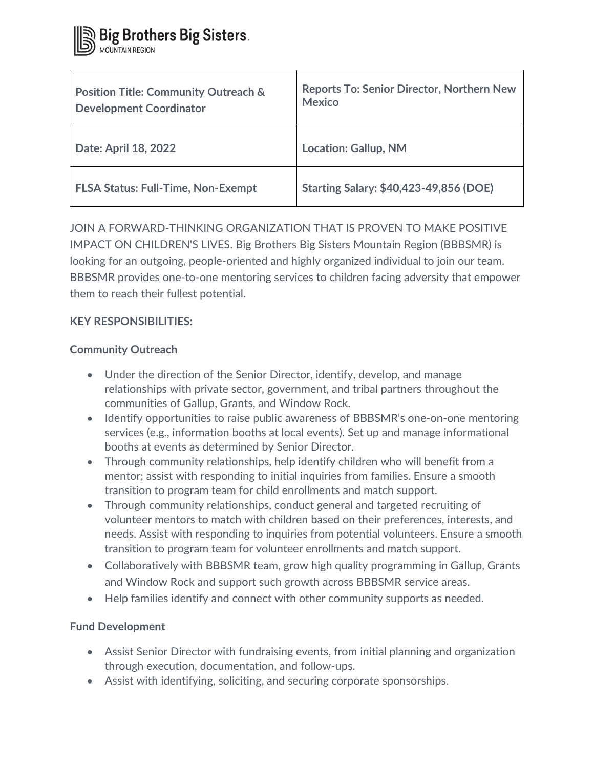| <b>Position Title: Community Outreach &amp;</b><br><b>Development Coordinator</b> | <b>Reports To: Senior Director, Northern New</b><br><b>Mexico</b> |
|-----------------------------------------------------------------------------------|-------------------------------------------------------------------|
| Date: April 18, 2022                                                              | <b>Location: Gallup, NM</b>                                       |
| <b>FLSA Status: Full-Time, Non-Exempt</b>                                         | <b>Starting Salary: \$40,423-49,856 (DOE)</b>                     |

JOIN A FORWARD-THINKING ORGANIZATION THAT IS PROVEN TO MAKE POSITIVE IMPACT ON CHILDREN'S LIVES. Big Brothers Big Sisters Mountain Region (BBBSMR) is looking for an outgoing, people-oriented and highly organized individual to join our team. BBBSMR provides one-to-one mentoring services to children facing adversity that empower them to reach their fullest potential.

# **KEY RESPONSIBILITIES:**

# **Community Outreach**

- Under the direction of the Senior Director, identify, develop, and manage relationships with private sector, government, and tribal partners throughout the communities of Gallup, Grants, and Window Rock.
- Identify opportunities to raise public awareness of BBBSMR's one-on-one mentoring services (e.g., information booths at local events). Set up and manage informational booths at events as determined by Senior Director.
- Through community relationships, help identify children who will benefit from a mentor; assist with responding to initial inquiries from families. Ensure a smooth transition to program team for child enrollments and match support.
- Through community relationships, conduct general and targeted recruiting of volunteer mentors to match with children based on their preferences, interests, and needs. Assist with responding to inquiries from potential volunteers. Ensure a smooth transition to program team for volunteer enrollments and match support.
- Collaboratively with BBBSMR team, grow high quality programming in Gallup, Grants and Window Rock and support such growth across BBBSMR service areas.
- Help families identify and connect with other community supports as needed.

# **Fund Development**

- Assist Senior Director with fundraising events, from initial planning and organization through execution, documentation, and follow-ups.
- Assist with identifying, soliciting, and securing corporate sponsorships.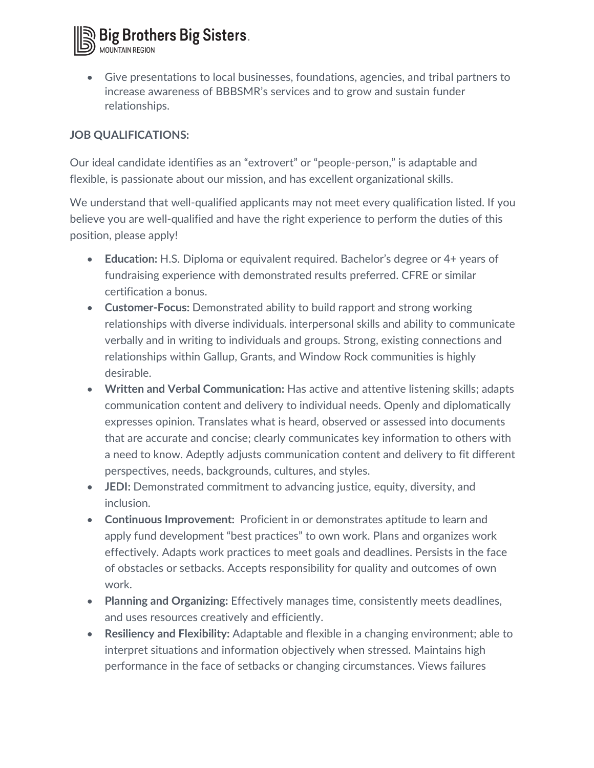

• Give presentations to local businesses, foundations, agencies, and tribal partners to increase awareness of BBBSMR's services and to grow and sustain funder relationships.

### **JOB QUALIFICATIONS:**

Our ideal candidate identifies as an "extrovert" or "people-person," is adaptable and flexible, is passionate about our mission, and has excellent organizational skills.

We understand that well-qualified applicants may not meet every qualification listed. If you believe you are well-qualified and have the right experience to perform the duties of this position, please apply!

- **Education:** H.S. Diploma or equivalent required. Bachelor's degree or 4+ years of fundraising experience with demonstrated results preferred. CFRE or similar certification a bonus.
- **Customer-Focus:** Demonstrated ability to build rapport and strong working relationships with diverse individuals. interpersonal skills and ability to communicate verbally and in writing to individuals and groups. Strong, existing connections and relationships within Gallup, Grants, and Window Rock communities is highly desirable.
- **Written and Verbal Communication:** Has active and attentive listening skills; adapts communication content and delivery to individual needs. Openly and diplomatically expresses opinion. Translates what is heard, observed or assessed into documents that are accurate and concise; clearly communicates key information to others with a need to know. Adeptly adjusts communication content and delivery to fit different perspectives, needs, backgrounds, cultures, and styles.
- **JEDI:** Demonstrated commitment to advancing justice, equity, diversity, and inclusion.
- **Continuous Improvement:** Proficient in or demonstrates aptitude to learn and apply fund development "best practices" to own work. Plans and organizes work effectively. Adapts work practices to meet goals and deadlines. Persists in the face of obstacles or setbacks. Accepts responsibility for quality and outcomes of own work.
- **Planning and Organizing:** Effectively manages time, consistently meets deadlines, and uses resources creatively and efficiently.
- **Resiliency and Flexibility:** Adaptable and flexible in a changing environment; able to interpret situations and information objectively when stressed. Maintains high performance in the face of setbacks or changing circumstances. Views failures